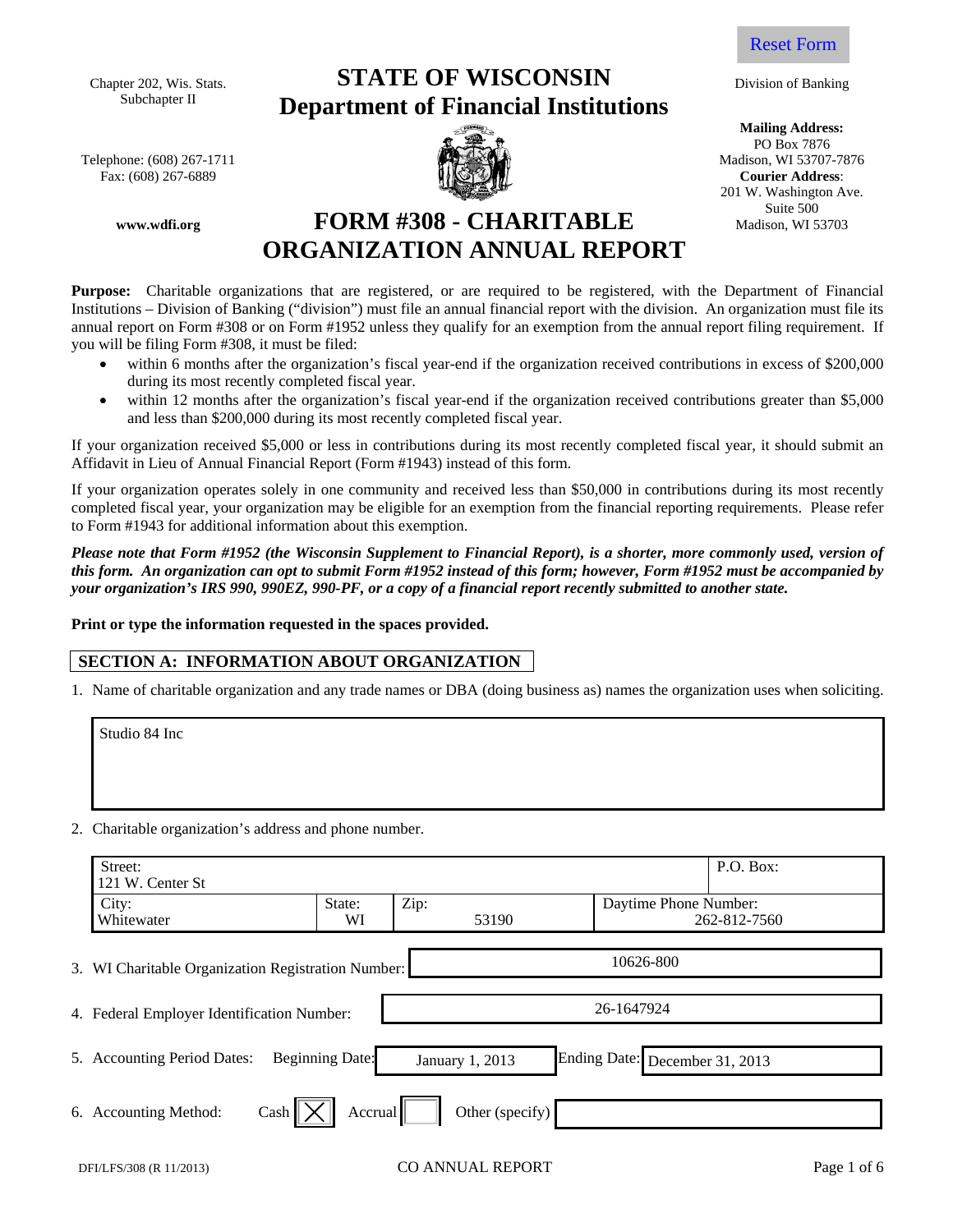Chapter 202, Wis. Stats. Subchapter II

Telephone: (608) 267-1711  $\blacksquare$  Madison, WI 53707-7876 Fax: (608) 267-6889 **Courier Address**:

**www.wdfi.org** 

# **STATE OF WISCONSIN Department of Financial Institutions**





Division of Banking

**Mailing Address:**  PO Box 7876 201 W. Washington Ave. Suite 500 Madison, WI 53703

**FORM #308 - CHARITABLE ORGANIZATION ANNUAL REPORT** 

**Purpose:** Charitable organizations that are registered, or are required to be registered, with the Department of Financial Institutions – Division of Banking ("division") must file an annual financial report with the division. An organization must file its annual report on Form #308 or on Form #1952 unless they qualify for an exemption from the annual report filing requirement. If you will be filing Form #308, it must be filed:

- within 6 months after the organization's fiscal year-end if the organization received contributions in excess of \$200,000 during its most recently completed fiscal year.
- within 12 months after the organization's fiscal year-end if the organization received contributions greater than \$5,000 and less than \$200,000 during its most recently completed fiscal year.

If your organization received \$5,000 or less in contributions during its most recently completed fiscal year, it should submit an Affidavit in Lieu of Annual Financial Report (Form #1943) instead of this form.

If your organization operates solely in one community and received less than \$50,000 in contributions during its most recently completed fiscal year, your organization may be eligible for an exemption from the financial reporting requirements. Please refer to Form #1943 for additional information about this exemption.

*Please note that Form #1952 (the Wisconsin Supplement to Financial Report), is a shorter, more commonly used, version of this form. An organization can opt to submit Form #1952 instead of this form; however, Form #1952 must be accompanied by your organization's IRS 990, 990EZ, 990-PF, or a copy of a financial report recently submitted to another state.* 

**Print or type the information requested in the spaces provided.** 

## **SECTION A: INFORMATION ABOUT ORGANIZATION**

1. Name of charitable organization and any trade names or DBA (doing business as) names the organization uses when soliciting.

Studio 84 Inc

2. Charitable organization's address and phone number.

| Street:<br>121 W. Center St                        |                        |                 |                                | P.O. Box:    |
|----------------------------------------------------|------------------------|-----------------|--------------------------------|--------------|
| City:<br>Whitewater                                | State:<br>WI           | Zip:<br>53190   | Daytime Phone Number:          | 262-812-7560 |
| 3. WI Charitable Organization Registration Number: |                        |                 | 10626-800                      |              |
| 4. Federal Employer Identification Number:         |                        |                 | 26-1647924                     |              |
| 5. Accounting Period Dates:                        | <b>Beginning Date:</b> | January 1, 2013 | Ending Date: December 31, 2013 |              |
| Cash<br>6. Accounting Method:                      | Accrual                | Other (specify) |                                |              |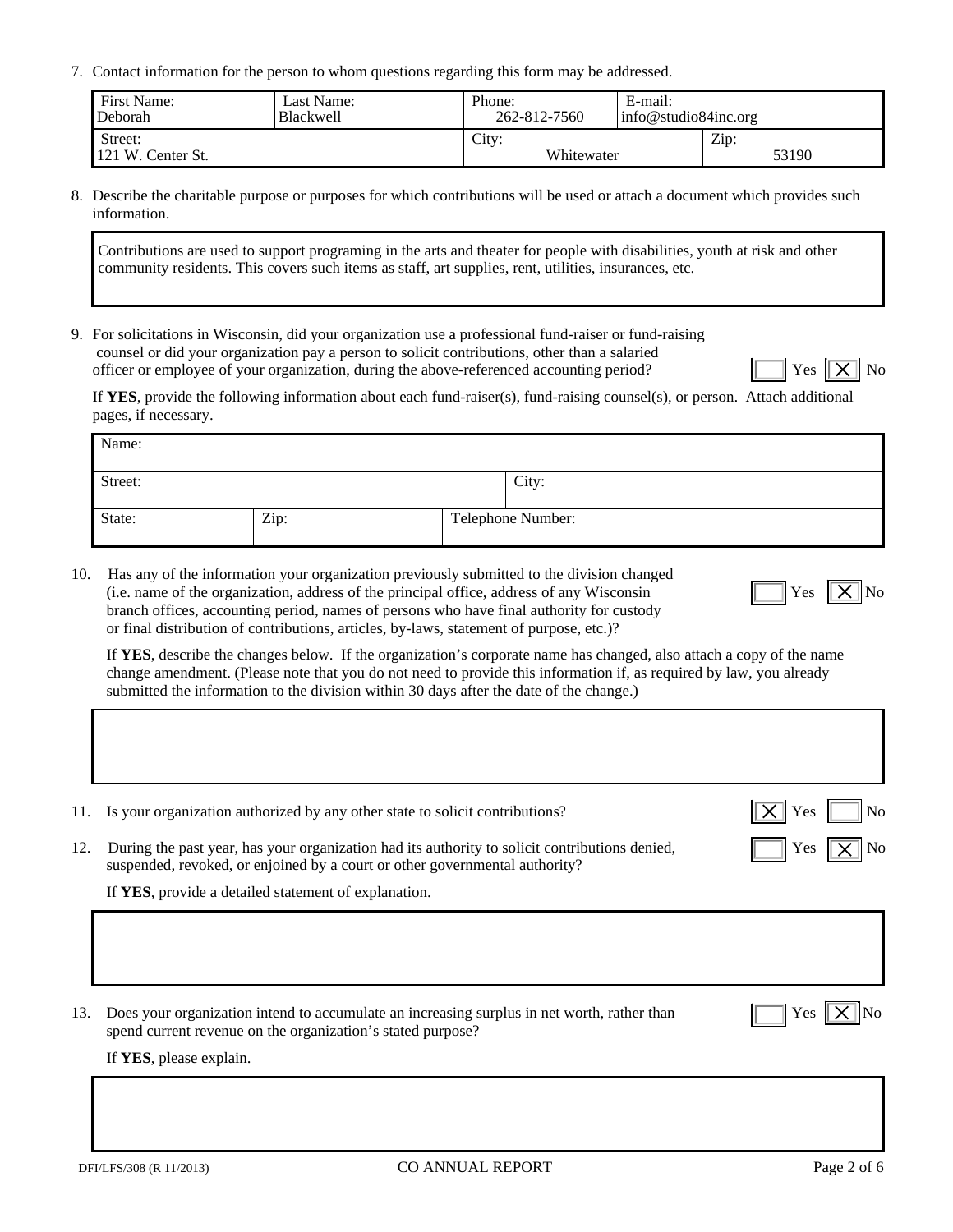7. Contact information for the person to whom questions regarding this form may be addressed.

| First Name:                  | Last Name: | Phone:              | E-mail:              |               |
|------------------------------|------------|---------------------|----------------------|---------------|
| Deborah                      | Blackwell  | 262-812-7560        | info@studio84inc.org |               |
| Street:<br>121 W. Center St. |            | City:<br>Whitewater |                      | Zip:<br>53190 |

8. Describe the charitable purpose or purposes for which contributions will be used or attach a document which provides such information.

Contributions are used to support programing in the arts and theater for people with disabilities, youth at risk and other community residents. This covers such items as staff, art supplies, rent, utilities, insurances, etc.

9. For solicitations in Wisconsin, did your organization use a professional fund-raiser or fund-raising counsel or did your organization pay a person to solicit contributions, other than a salaried officer or employee of your organization, during the above-referenced accounting period?  $\|\cdot\|$  Yes  $\|\times\|$  No

If **YES**, provide the following information about each fund-raiser(s), fund-raising counsel(s), or person. Attach additional pages, if necessary.

| Name:   |      |                   |
|---------|------|-------------------|
| Street: |      | City:             |
| State:  | Zip: | Telephone Number: |

10. Has any of the information your organization previously submitted to the division changed (i.e. name of the organization, address of the principal office, address of any Wisconsin  $\|\cdot\|$  Yes  $\|\cdot\|$  No branch offices, accounting period, names of persons who have final authority for custody or final distribution of contributions, articles, by-laws, statement of purpose, etc.)?

If **YES**, describe the changes below. If the organization's corporate name has changed, also attach a copy of the name change amendment. (Please note that you do not need to provide this information if, as required by law, you already submitted the information to the division within 30 days after the date of the change.)

| 11. | Is your organization authorized by any other state to solicit contributions?                                                                                                  | N <sub>0</sub><br>Yes |
|-----|-------------------------------------------------------------------------------------------------------------------------------------------------------------------------------|-----------------------|
| 12. | During the past year, has your organization had its authority to solicit contributions denied,<br>suspended, revoked, or enjoined by a court or other governmental authority? | Yes                   |
|     | If YES, provide a detailed statement of explanation.                                                                                                                          |                       |
|     |                                                                                                                                                                               |                       |
| 13. | Does your organization intend to accumulate an increasing surplus in net worth, rather than<br>spend current revenue on the organization's stated purpose?                    | Yes.                  |
|     | If YES, please explain.                                                                                                                                                       |                       |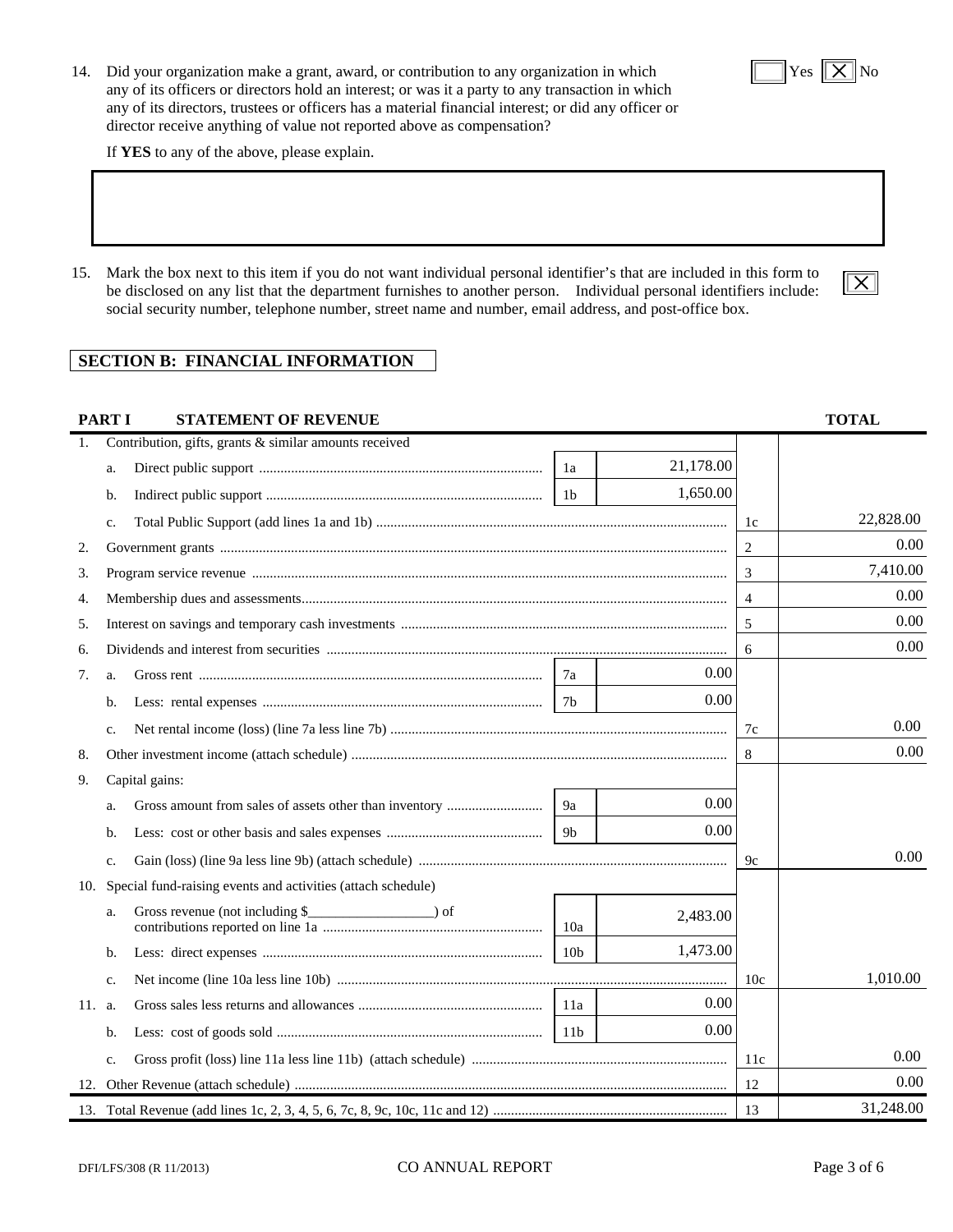14. Did your organization make a grant, award, or contribution to any organization in which  $\|\mathbf{x}\|$  Yes  $\|\mathbf{x}\|$  No any of its officers or directors hold an interest; or was it a party to any transaction in which any of its directors, trustees or officers has a material financial interest; or did any officer or director receive anything of value not reported above as compensation?

If **YES** to any of the above, please explain.

15. Mark the box next to this item if you do not want individual personal identifier's that are included in this form to be disclosed on any list that the department furnishes to another person. Individual personal identifiers include: social security number, telephone number, street name and number, email address, and post-office box.

# **SECTION B: FINANCIAL INFORMATION**

| <b>PARTI</b><br><b>STATEMENT OF REVENUE</b>                      |                |                 |           |                | <b>TOTAL</b> |
|------------------------------------------------------------------|----------------|-----------------|-----------|----------------|--------------|
| Contribution, gifts, grants & similar amounts received<br>1.     |                |                 |           |                |              |
| a.                                                               | 1a             |                 | 21,178.00 |                |              |
| b.                                                               | 1 <sub>b</sub> |                 | 1,650.00  |                |              |
| $C_{\star}$                                                      |                |                 |           | 1c             | 22,828.00    |
| 2.                                                               |                |                 |           | 2              | 0.00         |
| 3.                                                               |                |                 |           | 3              | 7,410.00     |
| 4.                                                               |                |                 |           | $\overline{4}$ | 0.00         |
| 5.                                                               |                |                 |           | 5              | 0.00         |
| 6.                                                               |                |                 |           | 6              | 0.00         |
| 7.<br>a.                                                         | 7a             |                 | 0.00      |                |              |
| b.                                                               | 7b             |                 | 0.00      |                |              |
| C <sub>1</sub>                                                   |                |                 |           | 7c             | 0.00         |
| 8.                                                               |                |                 |           | 8              | 0.00         |
| Capital gains:<br>9.                                             |                |                 |           |                |              |
| a.                                                               | 9a             |                 | 0.00      |                |              |
| b.                                                               | 9b             |                 | 0.00      |                |              |
| c.                                                               |                |                 |           | 9c             | 0.00         |
| 10. Special fund-raising events and activities (attach schedule) |                |                 |           |                |              |
| Gross revenue (not including $\$<br>a.                           |                | 10a             | 2,483.00  |                |              |
| b.                                                               |                | 10 <sub>b</sub> | 1,473.00  |                |              |
| C <sub>1</sub>                                                   |                |                 |           | 10c            | 1,010.00     |
| 11. a.                                                           |                | 11a             | 0.00      |                |              |
| b.                                                               |                | 11 <sub>b</sub> | 0.00      |                |              |
| c.                                                               |                |                 |           | 11c            | 0.00         |
| 12.                                                              |                |                 |           | 12             | 0.00         |
|                                                                  |                |                 |           | 13             | 31,248.00    |

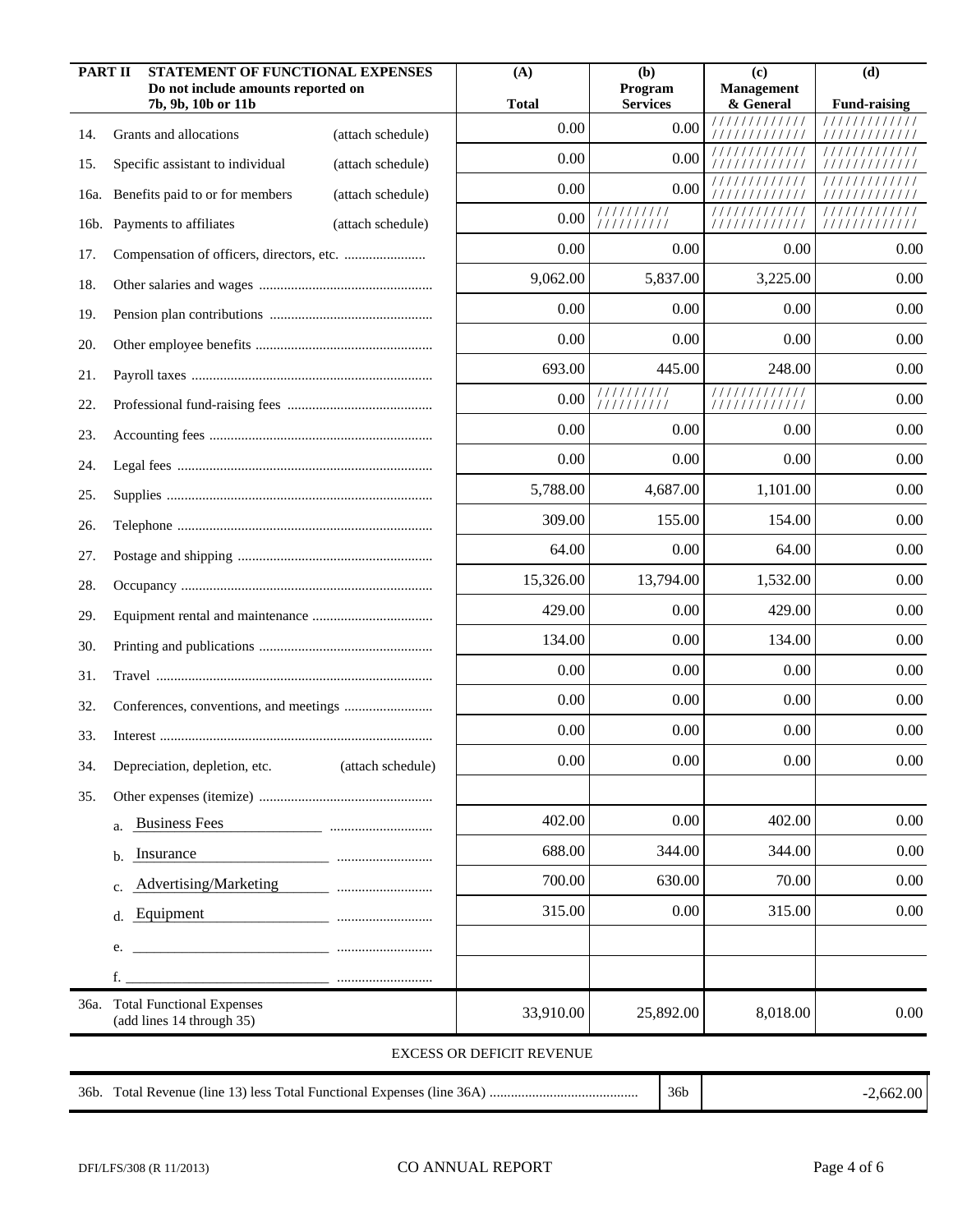| <b>PART II</b> | <b>STATEMENT OF FUNCTIONAL EXPENSES</b><br>Do not include amounts reported on<br>7b, 9b, 10b or 11b |                   | (A)<br><b>Total</b>              | (b)<br>Program<br><b>Services</b> | (c)<br><b>Management</b><br>& General | (d)<br><b>Fund-raising</b> |
|----------------|-----------------------------------------------------------------------------------------------------|-------------------|----------------------------------|-----------------------------------|---------------------------------------|----------------------------|
| 14.            | Grants and allocations                                                                              | (attach schedule) | 0.00                             | 0.00                              | 11111<br>/////////                    |                            |
| 15.            | Specific assistant to individual                                                                    | (attach schedule) | 0.00                             | 0.00                              |                                       |                            |
| 16a.           | Benefits paid to or for members                                                                     | (attach schedule) | 0.00                             | 0.00                              |                                       |                            |
|                | 16b. Payments to affiliates                                                                         | (attach schedule) | 0.00                             | //////////<br>111111111           | /////////////                         | /////////////              |
| 17.            |                                                                                                     |                   | 0.00                             | 0.00                              | 0.00                                  | 0.00                       |
| 18.            |                                                                                                     |                   | 9,062.00                         | 5,837.00                          | 3,225.00                              | 0.00                       |
| 19.            |                                                                                                     |                   | 0.00                             | 0.00                              | 0.00                                  | 0.00                       |
| 20.            |                                                                                                     |                   | 0.00                             | 0.00                              | 0.00                                  | 0.00                       |
| 21.            |                                                                                                     |                   | 693.00                           | 445.00                            | 248.00                                | 0.00                       |
| 22.            |                                                                                                     |                   | 0.00                             | //////////<br>111111111           | <i>111111111111</i><br>////////////   | 0.00                       |
| 23.            |                                                                                                     |                   | 0.00                             | 0.00                              | 0.00                                  | 0.00                       |
| 24.            |                                                                                                     |                   | 0.00                             | 0.00                              | 0.00                                  | 0.00                       |
| 25.            |                                                                                                     |                   | 5,788.00                         | 4,687.00                          | 1,101.00                              | 0.00                       |
| 26.            |                                                                                                     |                   | 309.00                           | 155.00                            | 154.00                                | 0.00                       |
| 27.            |                                                                                                     |                   | 64.00                            | 0.00                              | 64.00                                 | 0.00                       |
| 28.            |                                                                                                     |                   | 15,326.00                        | 13,794.00                         | 1,532.00                              | 0.00                       |
| 29.            |                                                                                                     |                   | 429.00                           | 0.00                              | 429.00                                | 0.00                       |
| 30.            |                                                                                                     |                   | 134.00                           | 0.00                              | 134.00                                | 0.00                       |
| 31.            |                                                                                                     |                   | 0.00                             | 0.00                              | 0.00                                  | 0.00                       |
| 32.            |                                                                                                     |                   | 0.00                             | 0.00                              | 0.00                                  | 0.00                       |
| 33.            |                                                                                                     |                   | 0.00                             | 0.00                              | 0.00                                  | 0.00                       |
| 34.            | Depreciation, depletion, etc.                                                                       | (attach schedule) | $0.00\,$                         | 0.00                              | $0.00\,$                              | $0.00\,$                   |
| 35.            |                                                                                                     |                   |                                  |                                   |                                       |                            |
|                | <b>Business Fees</b><br>a.                                                                          |                   | 402.00                           | 0.00                              | 402.00                                | 0.00                       |
|                | Insurance<br>b.                                                                                     |                   | 688.00                           | 344.00                            | 344.00                                | 0.00                       |
|                | Advertising/Marketing<br>c.                                                                         |                   | 700.00                           | 630.00                            | 70.00                                 | 0.00                       |
|                | Equipment<br>d.                                                                                     |                   | 315.00                           | 0.00                              | 315.00                                | 0.00                       |
|                | e.                                                                                                  |                   |                                  |                                   |                                       |                            |
|                | f.                                                                                                  |                   |                                  |                                   |                                       |                            |
|                | 36a. Total Functional Expenses<br>(add lines 14 through 35)                                         |                   | 33,910.00                        | 25,892.00                         | 8,018.00                              | 0.00                       |
|                |                                                                                                     |                   | <b>EXCESS OR DEFICIT REVENUE</b> |                                   |                                       |                            |
|                |                                                                                                     |                   |                                  | 36b                               |                                       | $-2,662.00$                |

-2,662.00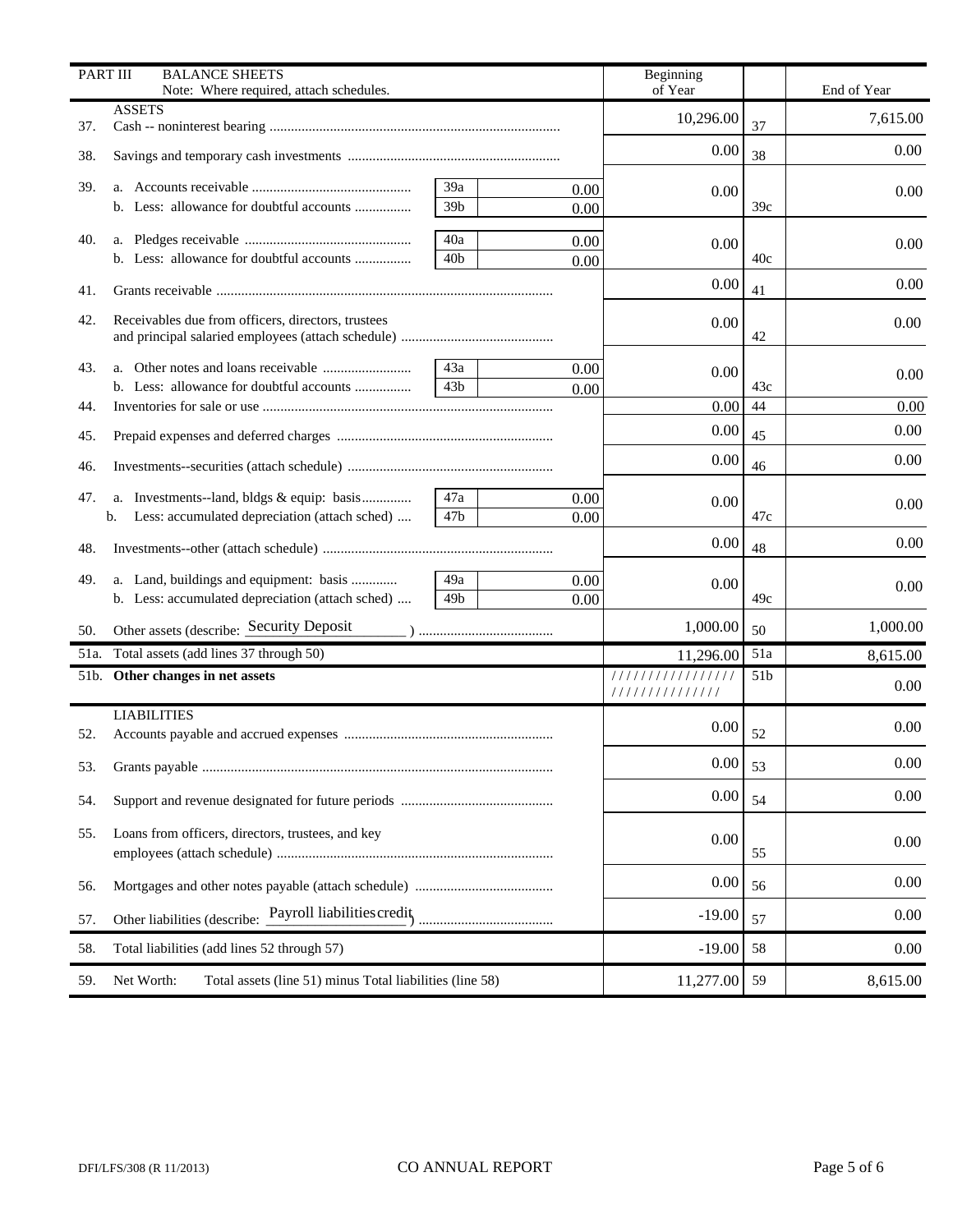| PART III | <b>BALANCE SHEETS</b>                                                  |                 |      | Beginning                          |                 |             |
|----------|------------------------------------------------------------------------|-----------------|------|------------------------------------|-----------------|-------------|
|          | Note: Where required, attach schedules.<br><b>ASSETS</b>               |                 |      | of Year                            |                 | End of Year |
| 37.      |                                                                        |                 |      | 10,296.00                          | 37              | 7,615.00    |
| 38.      |                                                                        |                 |      | 0.00                               | 38              | 0.00        |
| 39.      |                                                                        | 39a             | 0.00 | 0.00                               |                 | 0.00        |
|          |                                                                        | 39 <sub>b</sub> | 0.00 |                                    | 39c             |             |
| 40.      |                                                                        | 40a             | 0.00 | 0.00                               |                 | 0.00        |
|          | b. Less: allowance for doubtful accounts                               | 40 <sub>b</sub> | 0.00 |                                    | 40c             |             |
| 41.      |                                                                        |                 |      | 0.00                               | 41              | 0.00        |
| 42.      | Receivables due from officers, directors, trustees                     |                 |      | 0.00                               | 42              | 0.00        |
| 43.      |                                                                        | 43a             | 0.00 | 0.00                               |                 |             |
|          |                                                                        | 43 <sub>b</sub> | 0.00 |                                    | 43c             | 0.00        |
| 44.      |                                                                        |                 |      | 0.00                               | 44              | 0.00        |
| 45.      |                                                                        |                 |      | 0.00                               | 45              | 0.00        |
| 46.      |                                                                        |                 |      | 0.00                               | 46              | 0.00        |
| 47.      |                                                                        | 47a             | 0.00 | 0.00                               |                 | 0.00        |
|          | Less: accumulated depreciation (attach sched)<br>b.                    | 47 <sub>b</sub> | 0.00 |                                    | 47c             |             |
| 48.      |                                                                        |                 |      | 0.00                               | 48              | 0.00        |
| 49.      | a. Land, buildings and equipment: basis                                | 49a             | 0.00 | 0.00                               |                 | 0.00        |
|          | b. Less: accumulated depreciation (attach sched)                       | 49 <sub>b</sub> | 0.00 |                                    | 49c             |             |
| 50.      | Other assets (describe: Security Deposit                               |                 |      | 1,000.00                           | 50              | 1,000.00    |
| 51a.     | Total assets (add lines 37 through 50)                                 |                 |      | 11,296.00                          | 51a             | 8,615.00    |
|          | 51b. Other changes in net assets                                       |                 |      | ////////////////<br>////////////// | 51 <sub>b</sub> | 0.00        |
|          | <b>LIABILITIES</b>                                                     |                 |      | 0.00                               |                 | 0.00        |
| 52.      |                                                                        |                 |      |                                    | 52              |             |
| 53.      |                                                                        |                 |      | $0.00\,$                           | 53              | $0.00\,$    |
| 54.      |                                                                        |                 |      | 0.00                               | 54              | 0.00        |
| 55.      | Loans from officers, directors, trustees, and key                      |                 |      | 0.00                               | 55              | 0.00        |
| 56.      |                                                                        |                 |      | 0.00                               | 56              | 0.00        |
| 57.      |                                                                        |                 |      | $-19.00$                           | 57              | 0.00        |
| 58.      | Total liabilities (add lines 52 through 57)                            |                 |      | $-19.00$                           | 58              | 0.00        |
| 59.      | Net Worth:<br>Total assets (line 51) minus Total liabilities (line 58) |                 |      | 11,277.00                          | 59              | 8,615.00    |